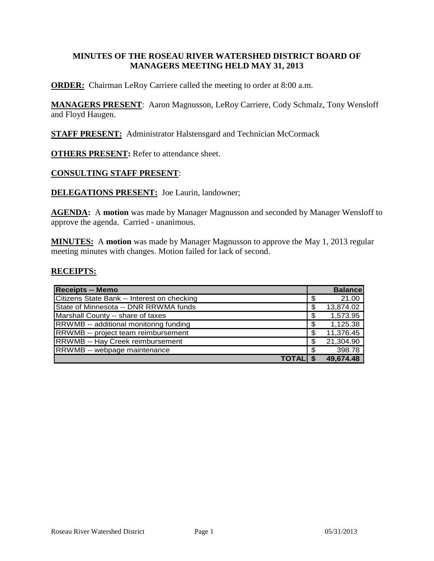#### **MINUTES OF THE ROSEAU RIVER WATERSHED DISTRICT BOARD OF MANAGERS MEETING HELD MAY 31, 2013**

**ORDER:** Chairman LeRoy Carriere called the meeting to order at 8:00 a.m.

**MANAGERS PRESENT**: Aaron Magnusson, LeRoy Carriere, Cody Schmalz, Tony Wensloff and Floyd Haugen.

**STAFF PRESENT:** Administrator Halstensgard and Technician McCormack

**OTHERS PRESENT:** Refer to attendance sheet.

#### **CONSULTING STAFF PRESENT**:

**DELEGATIONS PRESENT:** Joe Laurin, landowner;

**AGENDA:** A **motion** was made by Manager Magnusson and seconded by Manager Wensloff to approve the agenda. Carried - unanimous.

**MINUTES:** A **motion** was made by Manager Magnusson to approve the May 1, 2013 regular meeting minutes with changes. Motion failed for lack of second.

#### **RECEIPTS:**

| <b>Receipts -- Memo</b>                       | <b>Balance</b>  |
|-----------------------------------------------|-----------------|
| Citizens State Bank -- Interest on checking   | \$<br>21.00     |
| State of Minnesota -- DNR RRWMA funds         | \$<br>13,874.02 |
| Marshall County -- share of taxes             | \$<br>1,573.95  |
| <b>RRWMB</b> -- additional monitoring funding | \$<br>1,125.38  |
| RRWMB -- project team reimbursement           | \$<br>11,376.45 |
| <b>RRWMB -- Hay Creek reimbursement</b>       | \$<br>21,304.90 |
| RRWMB -- webpage maintenance                  | \$<br>398.78    |
| <b>TOTALI</b>                                 | 49,674.48       |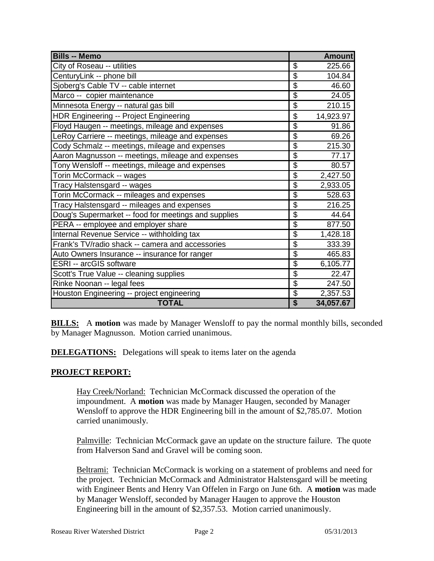| <b>Bills -- Memo</b>                                 |                           | <b>Amount</b> |
|------------------------------------------------------|---------------------------|---------------|
| City of Roseau -- utilities                          | \$                        | 225.66        |
| CenturyLink -- phone bill                            | \$                        | 104.84        |
| Sjoberg's Cable TV -- cable internet                 | \$                        | 46.60         |
| Marco -- copier maintenance                          | $\overline{\$}$           | 24.05         |
| Minnesota Energy -- natural gas bill                 | $\overline{\mathfrak{s}}$ | 210.15        |
| <b>HDR Engineering -- Project Engineering</b>        | \$                        | 14,923.97     |
| Floyd Haugen -- meetings, mileage and expenses       | \$                        | 91.86         |
| LeRoy Carriere -- meetings, mileage and expenses     | \$                        | 69.26         |
| Cody Schmalz -- meetings, mileage and expenses       | \$                        | 215.30        |
| Aaron Magnusson -- meetings, mileage and expenses    | \$                        | 77.17         |
| Tony Wensloff -- meetings, mileage and expenses      | $\overline{\mathcal{S}}$  | 80.57         |
| Torin McCormack -- wages                             | \$                        | 2,427.50      |
| Tracy Halstensgard -- wages                          | \$                        | 2,933.05      |
| Torin McCormack -- mileages and expenses             | \$                        | 528.63        |
| Tracy Halstensgard -- mileages and expenses          | \$                        | 216.25        |
| Doug's Supermarket -- food for meetings and supplies | $\overline{\mathcal{G}}$  | 44.64         |
| PERA -- employee and employer share                  | \$                        | 877.50        |
| Internal Revenue Service -- withholding tax          | $\overline{\mathcal{G}}$  | 1,428.18      |
| Frank's TV/radio shack -- camera and accessories     | $\overline{\$}$           | 333.39        |
| Auto Owners Insurance -- insurance for ranger        | $\overline{\$}$           | 465.83        |
| <b>ESRI</b> -- arcGIS software                       | \$                        | 6,105.77      |
| Scott's True Value -- cleaning supplies              | $\overline{\mathcal{G}}$  | 22.47         |
| Rinke Noonan -- legal fees                           | \$                        | 247.50        |
| Houston Engineering -- project engineering           | \$                        | 2,357.53      |
| <b>TOTAL</b>                                         | \$                        | 34,057.67     |

**BILLS:** A motion was made by Manager Wensloff to pay the normal monthly bills, seconded by Manager Magnusson. Motion carried unanimous.

**DELEGATIONS:** Delegations will speak to items later on the agenda

## **PROJECT REPORT:**

Hay Creek/Norland: Technician McCormack discussed the operation of the impoundment. A **motion** was made by Manager Haugen, seconded by Manager Wensloff to approve the HDR Engineering bill in the amount of \$2,785.07. Motion carried unanimously.

Palmville: Technician McCormack gave an update on the structure failure. The quote from Halverson Sand and Gravel will be coming soon.

Beltrami: Technician McCormack is working on a statement of problems and need for the project. Technician McCormack and Administrator Halstensgard will be meeting with Engineer Bents and Henry Van Offelen in Fargo on June 6th. A **motion** was made by Manager Wensloff, seconded by Manager Haugen to approve the Houston Engineering bill in the amount of \$2,357.53. Motion carried unanimously.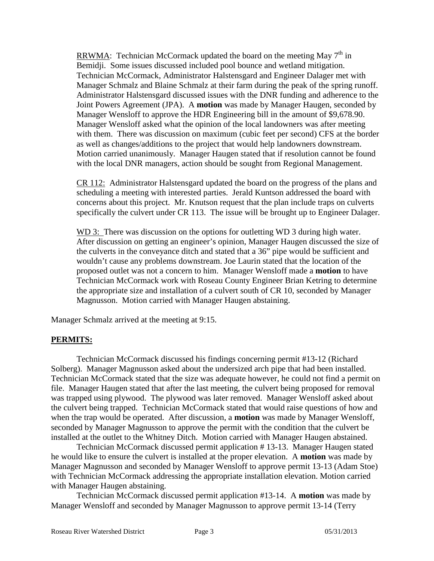RRWMA: Technician McCormack updated the board on the meeting May  $7<sup>th</sup>$  in Bemidji. Some issues discussed included pool bounce and wetland mitigation. Technician McCormack, Administrator Halstensgard and Engineer Dalager met with Manager Schmalz and Blaine Schmalz at their farm during the peak of the spring runoff. Administrator Halstensgard discussed issues with the DNR funding and adherence to the Joint Powers Agreement (JPA). A **motion** was made by Manager Haugen, seconded by Manager Wensloff to approve the HDR Engineering bill in the amount of \$9,678.90. Manager Wensloff asked what the opinion of the local landowners was after meeting with them. There was discussion on maximum (cubic feet per second) CFS at the border as well as changes/additions to the project that would help landowners downstream. Motion carried unanimously. Manager Haugen stated that if resolution cannot be found with the local DNR managers, action should be sought from Regional Management.

CR 112: Administrator Halstensgard updated the board on the progress of the plans and scheduling a meeting with interested parties. Jerald Kuntson addressed the board with concerns about this project. Mr. Knutson request that the plan include traps on culverts specifically the culvert under CR 113. The issue will be brought up to Engineer Dalager.

WD 3: There was discussion on the options for outletting WD 3 during high water. After discussion on getting an engineer's opinion, Manager Haugen discussed the size of the culverts in the conveyance ditch and stated that a 36" pipe would be sufficient and wouldn't cause any problems downstream. Joe Laurin stated that the location of the proposed outlet was not a concern to him. Manager Wensloff made a **motion** to have Technician McCormack work with Roseau County Engineer Brian Ketring to determine the appropriate size and installation of a culvert south of CR 10, seconded by Manager Magnusson. Motion carried with Manager Haugen abstaining.

Manager Schmalz arrived at the meeting at 9:15.

## **PERMITS:**

Technician McCormack discussed his findings concerning permit #13-12 (Richard Solberg). Manager Magnusson asked about the undersized arch pipe that had been installed. Technician McCormack stated that the size was adequate however, he could not find a permit on file. Manager Haugen stated that after the last meeting, the culvert being proposed for removal was trapped using plywood. The plywood was later removed. Manager Wensloff asked about the culvert being trapped. Technician McCormack stated that would raise questions of how and when the trap would be operated. After discussion, a **motion** was made by Manager Wensloff, seconded by Manager Magnusson to approve the permit with the condition that the culvert be installed at the outlet to the Whitney Ditch. Motion carried with Manager Haugen abstained.

Technician McCormack discussed permit application # 13-13. Manager Haugen stated he would like to ensure the culvert is installed at the proper elevation. A **motion** was made by Manager Magnusson and seconded by Manager Wensloff to approve permit 13-13 (Adam Stoe) with Technician McCormack addressing the appropriate installation elevation. Motion carried with Manager Haugen abstaining.

Technician McCormack discussed permit application #13-14. A **motion** was made by Manager Wensloff and seconded by Manager Magnusson to approve permit 13-14 (Terry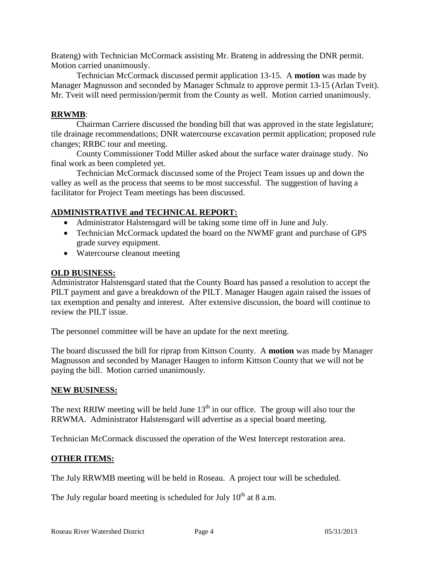Brateng) with Technician McCormack assisting Mr. Brateng in addressing the DNR permit. Motion carried unanimously.

Technician McCormack discussed permit application 13-15. A **motion** was made by Manager Magnusson and seconded by Manager Schmalz to approve permit 13-15 (Arlan Tveit). Mr. Tveit will need permission/permit from the County as well. Motion carried unanimously.

#### **RRWMB**:

Chairman Carriere discussed the bonding bill that was approved in the state legislature; tile drainage recommendations; DNR watercourse excavation permit application; proposed rule changes; RRBC tour and meeting.

County Commissioner Todd Miller asked about the surface water drainage study. No final work as been completed yet.

Technician McCormack discussed some of the Project Team issues up and down the valley as well as the process that seems to be most successful. The suggestion of having a facilitator for Project Team meetings has been discussed.

# **ADMINISTRATIVE and TECHNICAL REPORT:**

- Administrator Halstensgard will be taking some time off in June and July.
- Technician McCormack updated the board on the NWMF grant and purchase of GPS grade survey equipment.
- Watercourse cleanout meeting

#### **OLD BUSINESS:**

Administrator Halstensgard stated that the County Board has passed a resolution to accept the PILT payment and gave a breakdown of the PILT. Manager Haugen again raised the issues of tax exemption and penalty and interest. After extensive discussion, the board will continue to review the PILT issue.

The personnel committee will be have an update for the next meeting.

The board discussed the bill for riprap from Kittson County. A **motion** was made by Manager Magnusson and seconded by Manager Haugen to inform Kittson County that we will not be paying the bill. Motion carried unanimously.

#### **NEW BUSINESS:**

The next RRIW meeting will be held June  $13<sup>th</sup>$  in our office. The group will also tour the RRWMA. Administrator Halstensgard will advertise as a special board meeting.

Technician McCormack discussed the operation of the West Intercept restoration area.

## **OTHER ITEMS:**

The July RRWMB meeting will be held in Roseau. A project tour will be scheduled.

The July regular board meeting is scheduled for July  $10^{th}$  at 8 a.m.